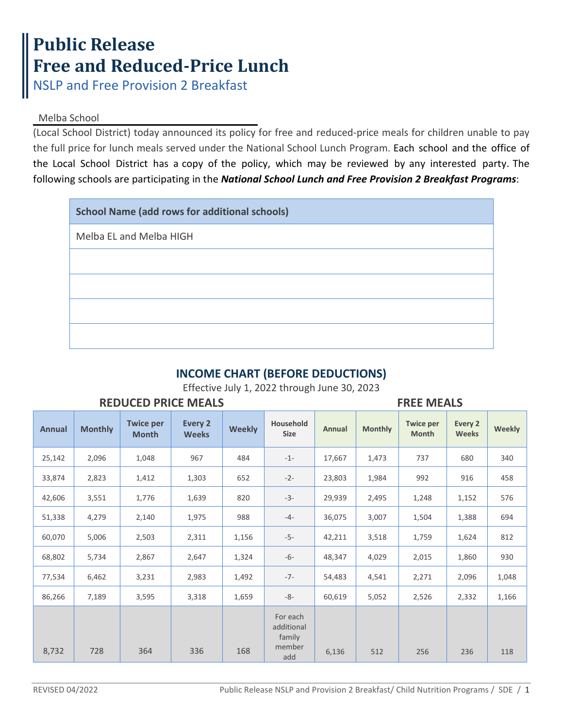## **Public Release Free and Reduced-Price Lunch**

NSLP and Free Provision 2 Breakfast

## Melba School

(Local School District) today announced its policy for free and reduced-price meals for children unable to pay the full price for lunch meals served under the National School Lunch Program. Each school and the office of the Local School District has a copy of the policy, which may be reviewed by any interested party. The following schools are participating in the *National School Lunch and Free Provision 2 Breakfast Programs*:

| <b>School Name (add rows for additional schools)</b> |
|------------------------------------------------------|
| Melba EL and Melba HIGH                              |
|                                                      |
|                                                      |
|                                                      |
|                                                      |

## **INCOME CHART (BEFORE DEDUCTIONS)**

Effective July 1, 2022 through June 30, 2023

| <b>REDUCED PRICE MEALS</b> |                |                                  |                         |               |                                                   |        | <b>FREE MEALS</b> |                                  |                         |        |  |
|----------------------------|----------------|----------------------------------|-------------------------|---------------|---------------------------------------------------|--------|-------------------|----------------------------------|-------------------------|--------|--|
| <b>Annual</b>              | <b>Monthly</b> | <b>Twice per</b><br><b>Month</b> | Every 2<br><b>Weeks</b> | <b>Weekly</b> | Household<br><b>Size</b>                          | Annual | <b>Monthly</b>    | <b>Twice per</b><br><b>Month</b> | Every 2<br><b>Weeks</b> | Weekly |  |
| 25,142                     | 2,096          | 1,048                            | 967                     | 484           | $-1-$                                             | 17,667 | 1,473             | 737                              | 680                     | 340    |  |
| 33,874                     | 2,823          | 1,412                            | 1,303                   | 652           | $-2-$                                             | 23,803 | 1,984             | 992                              | 916                     | 458    |  |
| 42,606                     | 3,551          | 1,776                            | 1,639                   | 820           | $-3-$                                             | 29,939 | 2,495             | 1,248                            | 1,152                   | 576    |  |
| 51,338                     | 4,279          | 2,140                            | 1,975                   | 988           | $-4-$                                             | 36,075 | 3,007             | 1,504                            | 1,388                   | 694    |  |
| 60,070                     | 5,006          | 2,503                            | 2,311                   | 1,156         | $-5-$                                             | 42,211 | 3,518             | 1,759                            | 1,624                   | 812    |  |
| 68,802                     | 5,734          | 2,867                            | 2,647                   | 1,324         | $-6-$                                             | 48,347 | 4,029             | 2,015                            | 1,860                   | 930    |  |
| 77,534                     | 6,462          | 3,231                            | 2,983                   | 1,492         | $-7-$                                             | 54,483 | 4,541             | 2,271                            | 2,096                   | 1,048  |  |
| 86,266                     | 7,189          | 3,595                            | 3,318                   | 1,659         | $-8-$                                             | 60,619 | 5,052             | 2,526                            | 2,332                   | 1,166  |  |
| 8,732                      | 728            | 364                              | 336                     | 168           | For each<br>additional<br>family<br>member<br>add | 6,136  | 512               | 256                              | 236                     | 118    |  |